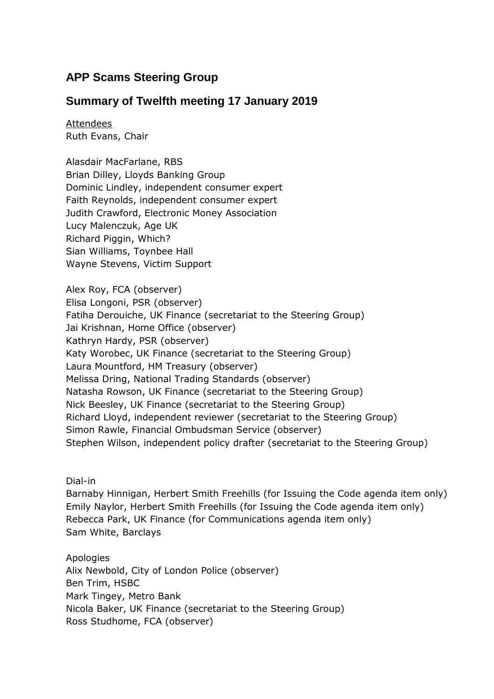# **APP Scams Steering Group**

# **Summary of Twelfth meeting 17 January 2019**

Attendees Ruth Evans, Chair

Alasdair MacFarlane, RBS Brian Dilley, Lloyds Banking Group Dominic Lindley, independent consumer expert Faith Reynolds, independent consumer expert Judith Crawford, Electronic Money Association Lucy Malenczuk, Age UK Richard Piggin, Which? Sian Williams, Toynbee Hall Wayne Stevens, Victim Support

Alex Roy, FCA (observer) Elisa Longoni, PSR (observer) Fatiha Derouiche, UK Finance (secretariat to the Steering Group) Jai Krishnan, Home Office (observer) Kathryn Hardy, PSR (observer) Katy Worobec, UK Finance (secretariat to the Steering Group) Laura Mountford, HM Treasury (observer) Melissa Dring, National Trading Standards (observer) Natasha Rowson, UK Finance (secretariat to the Steering Group) Nick Beesley, UK Finance (secretariat to the Steering Group) Richard Lloyd, independent reviewer (secretariat to the Steering Group) Simon Rawle, Financial Ombudsman Service (observer) Stephen Wilson, independent policy drafter (secretariat to the Steering Group)

Dial-in

Barnaby Hinnigan, Herbert Smith Freehills (for Issuing the Code agenda item only) Emily Naylor, Herbert Smith Freehills (for Issuing the Code agenda item only) Rebecca Park, UK Finance (for Communications agenda item only) Sam White, Barclays

Apologies Alix Newbold, City of London Police (observer) Ben Trim, HSBC Mark Tingey, Metro Bank Nicola Baker, UK Finance (secretariat to the Steering Group) Ross Studhome, FCA (observer)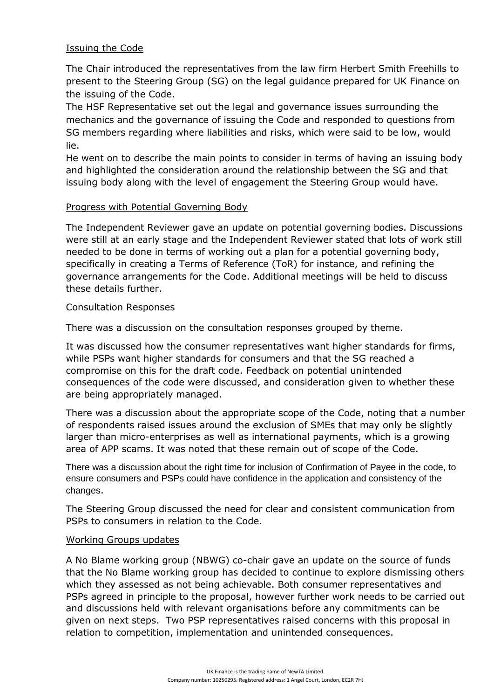# Issuing the Code

The Chair introduced the representatives from the law firm Herbert Smith Freehills to present to the Steering Group (SG) on the legal guidance prepared for UK Finance on the issuing of the Code.

The HSF Representative set out the legal and governance issues surrounding the mechanics and the governance of issuing the Code and responded to questions from SG members regarding where liabilities and risks, which were said to be low, would lie.

He went on to describe the main points to consider in terms of having an issuing body and highlighted the consideration around the relationship between the SG and that issuing body along with the level of engagement the Steering Group would have.

## Progress with Potential Governing Body

The Independent Reviewer gave an update on potential governing bodies. Discussions were still at an early stage and the Independent Reviewer stated that lots of work still needed to be done in terms of working out a plan for a potential governing body, specifically in creating a Terms of Reference (ToR) for instance, and refining the governance arrangements for the Code. Additional meetings will be held to discuss these details further.

### Consultation Responses

There was a discussion on the consultation responses grouped by theme.

It was discussed how the consumer representatives want higher standards for firms, while PSPs want higher standards for consumers and that the SG reached a compromise on this for the draft code. Feedback on potential unintended consequences of the code were discussed, and consideration given to whether these are being appropriately managed.

There was a discussion about the appropriate scope of the Code, noting that a number of respondents raised issues around the exclusion of SMEs that may only be slightly larger than micro-enterprises as well as international payments, which is a growing area of APP scams. It was noted that these remain out of scope of the Code.

There was a discussion about the right time for inclusion of Confirmation of Payee in the code, to ensure consumers and PSPs could have confidence in the application and consistency of the changes.

The Steering Group discussed the need for clear and consistent communication from PSPs to consumers in relation to the Code.

### Working Groups updates

A No Blame working group (NBWG) co-chair gave an update on the source of funds that the No Blame working group has decided to continue to explore dismissing others which they assessed as not being achievable. Both consumer representatives and PSPs agreed in principle to the proposal, however further work needs to be carried out and discussions held with relevant organisations before any commitments can be given on next steps. Two PSP representatives raised concerns with this proposal in relation to competition, implementation and unintended consequences.